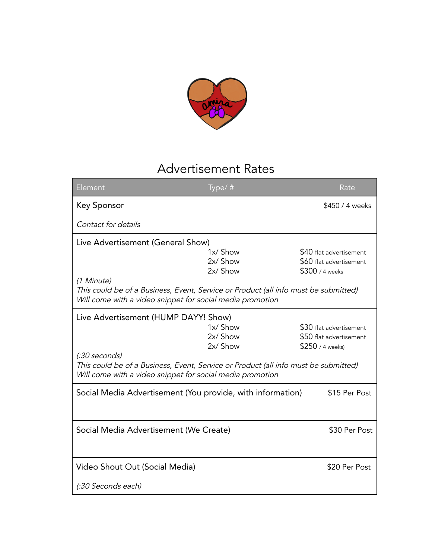

## Advertisement Rates

| Element                                                                                                                                                           | Type/#   | Rate                    |
|-------------------------------------------------------------------------------------------------------------------------------------------------------------------|----------|-------------------------|
| Key Sponsor                                                                                                                                                       |          | \$450 / 4 weeks         |
| Contact for details                                                                                                                                               |          |                         |
| Live Advertisement (General Show)                                                                                                                                 |          |                         |
|                                                                                                                                                                   | 1x/ Show | \$40 flat advertisement |
|                                                                                                                                                                   | 2x/ Show | \$60 flat advertisement |
|                                                                                                                                                                   | 2x/ Show | \$300 / 4 weeks         |
| (1 Minute)<br>This could be of a Business, Event, Service or Product (all info must be submitted)<br>Will come with a video snippet for social media promotion    |          |                         |
| Live Advertisement (HUMP DAYY! Show)                                                                                                                              |          |                         |
|                                                                                                                                                                   | 1x/ Show | \$30 flat advertisement |
|                                                                                                                                                                   | 2x/ Show | \$50 flat advertisement |
|                                                                                                                                                                   | 2x/ Show | \$250 / 4 weeks)        |
| (:30 seconds)<br>This could be of a Business, Event, Service or Product (all info must be submitted)<br>Will come with a video snippet for social media promotion |          |                         |
| Social Media Advertisement (You provide, with information)                                                                                                        |          | \$15 Per Post           |
|                                                                                                                                                                   |          |                         |
| Social Media Advertisement (We Create)                                                                                                                            |          | \$30 Per Post           |
|                                                                                                                                                                   |          |                         |
| Video Shout Out (Social Media)                                                                                                                                    |          | \$20 Per Post           |
| (:30 Seconds each)                                                                                                                                                |          |                         |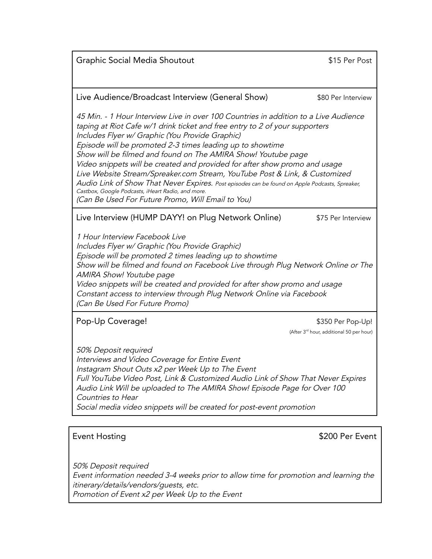Graphic Social Media Shoutout **\$15 Per Post** 

## Live Audience/Broadcast Interview (General Show) \$80 Per Interview

45 Min. - 1 Hour Interview Live in over 100 Countries in addition to <sup>a</sup> Live Audience taping at Riot Cafe w/1 drink ticket and free entry to <sup>2</sup> of your supporters Includes Flyer w/ Graphic (You Provide Graphic) Episode will be promoted 2-3 times leading up to showtime Show will be filmed and found on The AMIRA Show! Youtube page Video snippets will be created and provided for after show promo and usage Live Website Stream/Spreaker.com Stream, YouTube Post & Link, & Customized Audio Link of Show That Never Expires. Post episodes can be found on Apple Podcasts, Spreaker, Castbox, Google Podcasts, iHeart Radio, and more. (Can Be Used For Future Promo, Will Email to You)

Live Interview (HUMP DAYY! on Plug Network Online) \$75 Per Interview

1 Hour Interview Facebook Live Includes Flyer w/ Graphic (You Provide Graphic) Episode will be promoted <sup>2</sup> times leading up to showtime Show will be filmed and found on Facebook Live through Plug Network Online or The AMIRA Show! Youtube page Video snippets will be created and provided for after show promo and usage Constant access to interview through Plug Network Online via Facebook (Can Be Used For Future Promo)

Pop-Up Coverage!  $$350$  Per Pop-Up!

(After 3 rd hour, additional 50 per hour)

50% Deposit required Interviews and Video Coverage for Entire Event Instagram Shout Outs x2 per Week Up to The Event Full YouTube Video Post, Link & Customized Audio Link of Show That Never Expires Audio Link Will be uploaded to The AMIRA Show! Episode Page for Over <sup>100</sup> Countries to Hear Social media video snippets will be created for post-event promotion

Event Hosting **Event Hosting Event** 

50% Deposit required Event information needed 3-4 weeks prior to allow time for promotion and learning the itinerary/details/vendors/guests, etc. Promotion of Event x2 per Week Up to the Event